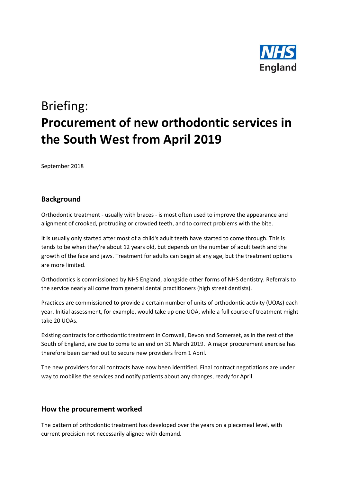

# Briefing: **Procurement of new orthodontic services in the South West from April 2019**

September 2018

## **Background**

Orthodontic treatment - usually with braces - is most often used to improve the appearance and alignment of crooked, protruding or crowded teeth, and to correct problems with the bite.

It is usually only started after most of a child's adult teeth have started to come through. This is tends to be when they're about 12 years old, but depends on the number of adult teeth and the growth of the face and jaws. Treatment for adults can begin at any age, but the treatment options are more limited.

Orthodontics is commissioned by NHS England, alongside other forms of NHS dentistry. Referrals to the service nearly all come from general dental practitioners (high street dentists).

Practices are commissioned to provide a certain number of units of orthodontic activity (UOAs) each year. Initial assessment, for example, would take up one UOA, while a full course of treatment might take 20 UOAs.

Existing contracts for orthodontic treatment in Cornwall, Devon and Somerset, as in the rest of the South of England, are due to come to an end on 31 March 2019. A major procurement exercise has therefore been carried out to secure new providers from 1 April.

The new providers for all contracts have now been identified. Final contract negotiations are under way to mobilise the services and notify patients about any changes, ready for April.

#### **How the procurement worked**

The pattern of orthodontic treatment has developed over the years on a piecemeal level, with current precision not necessarily aligned with demand.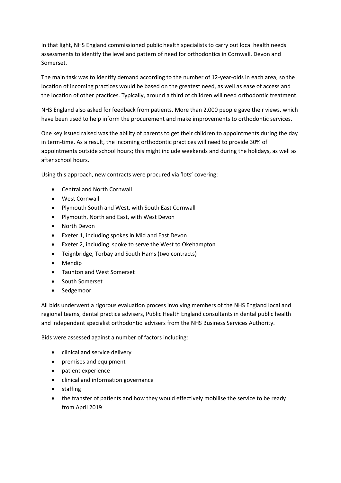In that light, NHS England commissioned public health specialists to carry out local health needs assessments to identify the level and pattern of need for orthodontics in Cornwall, Devon and Somerset.

The main task was to identify demand according to the number of 12-year-olds in each area, so the location of incoming practices would be based on the greatest need, as well as ease of access and the location of other practices. Typically, around a third of children will need orthodontic treatment.

NHS England also asked for feedback from patients. More than 2,000 people gave their views, which have been used to help inform the procurement and make improvements to orthodontic services.

One key issued raised was the ability of parents to get their children to appointments during the day in term-time. As a result, the incoming orthodontic practices will need to provide 30% of appointments outside school hours; this might include weekends and during the holidays, as well as after school hours.

Using this approach, new contracts were procured via 'lots' covering:

- Central and North Cornwall
- West Cornwall
- Plymouth South and West, with South East Cornwall
- Plymouth, North and East, with West Devon
- North Devon
- Exeter 1, including spokes in Mid and East Devon
- Exeter 2, including spoke to serve the West to Okehampton
- Teignbridge, Torbay and South Hams (two contracts)
- Mendip
- Taunton and West Somerset
- South Somerset
- Sedgemoor

All bids underwent a rigorous evaluation process involving members of the NHS England local and regional teams, dental practice advisers, Public Health England consultants in dental public health and independent specialist orthodontic advisers from the NHS Business Services Authority.

Bids were assessed against a number of factors including:

- clinical and service delivery
- premises and equipment
- patient experience
- clinical and information governance
- staffing
- the transfer of patients and how they would effectively mobilise the service to be ready from April 2019